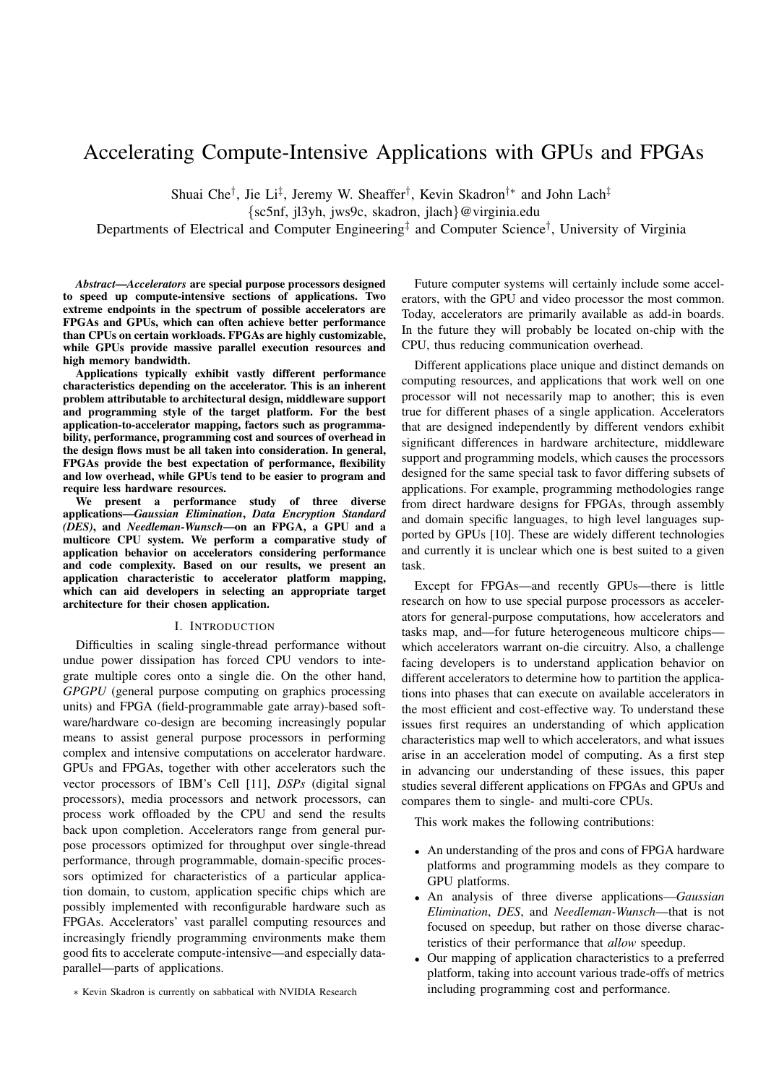# Accelerating Compute-Intensive Applications with GPUs and FPGAs

Shuai Che<sup>†</sup>, Jie Li<sup>‡</sup>, Jeremy W. Sheaffer<sup>†</sup>, Kevin Skadron<sup>†∗</sup> and John Lach<sup>‡</sup>

{sc5nf, jl3yh, jws9c, skadron, jlach}@virginia.edu

Departments of Electrical and Computer Engineering<sup>‡</sup> and Computer Science<sup>†</sup>, University of Virginia

*Abstract***—***Accelerators* **are special purpose processors designed to speed up compute-intensive sections of applications. Two extreme endpoints in the spectrum of possible accelerators are FPGAs and GPUs, which can often achieve better performance than CPUs on certain workloads. FPGAs are highly customizable, while GPUs provide massive parallel execution resources and high memory bandwidth.**

**Applications typically exhibit vastly different performance characteristics depending on the accelerator. This is an inherent problem attributable to architectural design, middleware support and programming style of the target platform. For the best application-to-accelerator mapping, factors such as programmability, performance, programming cost and sources of overhead in the design flows must be all taken into consideration. In general, FPGAs provide the best expectation of performance, flexibility and low overhead, while GPUs tend to be easier to program and require less hardware resources.**

**We present a performance study of three diverse applications—***Gaussian Elimination***,** *Data Encryption Standard (DES)***, and** *Needleman-Wunsch***—on an FPGA, a GPU and a multicore CPU system. We perform a comparative study of application behavior on accelerators considering performance and code complexity. Based on our results, we present an application characteristic to accelerator platform mapping, which can aid developers in selecting an appropriate target architecture for their chosen application.**

## I. INTRODUCTION

Difficulties in scaling single-thread performance without undue power dissipation has forced CPU vendors to integrate multiple cores onto a single die. On the other hand, *GPGPU* (general purpose computing on graphics processing units) and FPGA (field-programmable gate array)-based software/hardware co-design are becoming increasingly popular means to assist general purpose processors in performing complex and intensive computations on accelerator hardware. GPUs and FPGAs, together with other accelerators such the vector processors of IBM's Cell [11], *DSPs* (digital signal processors), media processors and network processors, can process work offloaded by the CPU and send the results back upon completion. Accelerators range from general purpose processors optimized for throughput over single-thread performance, through programmable, domain-specific processors optimized for characteristics of a particular application domain, to custom, application specific chips which are possibly implemented with reconfigurable hardware such as FPGAs. Accelerators' vast parallel computing resources and increasingly friendly programming environments make them good fits to accelerate compute-intensive—and especially dataparallel—parts of applications.

Future computer systems will certainly include some accelerators, with the GPU and video processor the most common. Today, accelerators are primarily available as add-in boards. In the future they will probably be located on-chip with the CPU, thus reducing communication overhead.

Different applications place unique and distinct demands on computing resources, and applications that work well on one processor will not necessarily map to another; this is even true for different phases of a single application. Accelerators that are designed independently by different vendors exhibit significant differences in hardware architecture, middleware support and programming models, which causes the processors designed for the same special task to favor differing subsets of applications. For example, programming methodologies range from direct hardware designs for FPGAs, through assembly and domain specific languages, to high level languages supported by GPUs [10]. These are widely different technologies and currently it is unclear which one is best suited to a given task.

Except for FPGAs—and recently GPUs—there is little research on how to use special purpose processors as accelerators for general-purpose computations, how accelerators and tasks map, and—for future heterogeneous multicore chips which accelerators warrant on-die circuitry. Also, a challenge facing developers is to understand application behavior on different accelerators to determine how to partition the applications into phases that can execute on available accelerators in the most efficient and cost-effective way. To understand these issues first requires an understanding of which application characteristics map well to which accelerators, and what issues arise in an acceleration model of computing. As a first step in advancing our understanding of these issues, this paper studies several different applications on FPGAs and GPUs and compares them to single- and multi-core CPUs.

This work makes the following contributions:

- An understanding of the pros and cons of FPGA hardware platforms and programming models as they compare to GPU platforms.
- An analysis of three diverse applications—*Gaussian Elimination*, *DES*, and *Needleman-Wunsch*—that is not focused on speedup, but rather on those diverse characteristics of their performance that *allow* speedup.
- Our mapping of application characteristics to a preferred platform, taking into account various trade-offs of metrics including programming cost and performance.

<sup>∗</sup> Kevin Skadron is currently on sabbatical with NVIDIA Research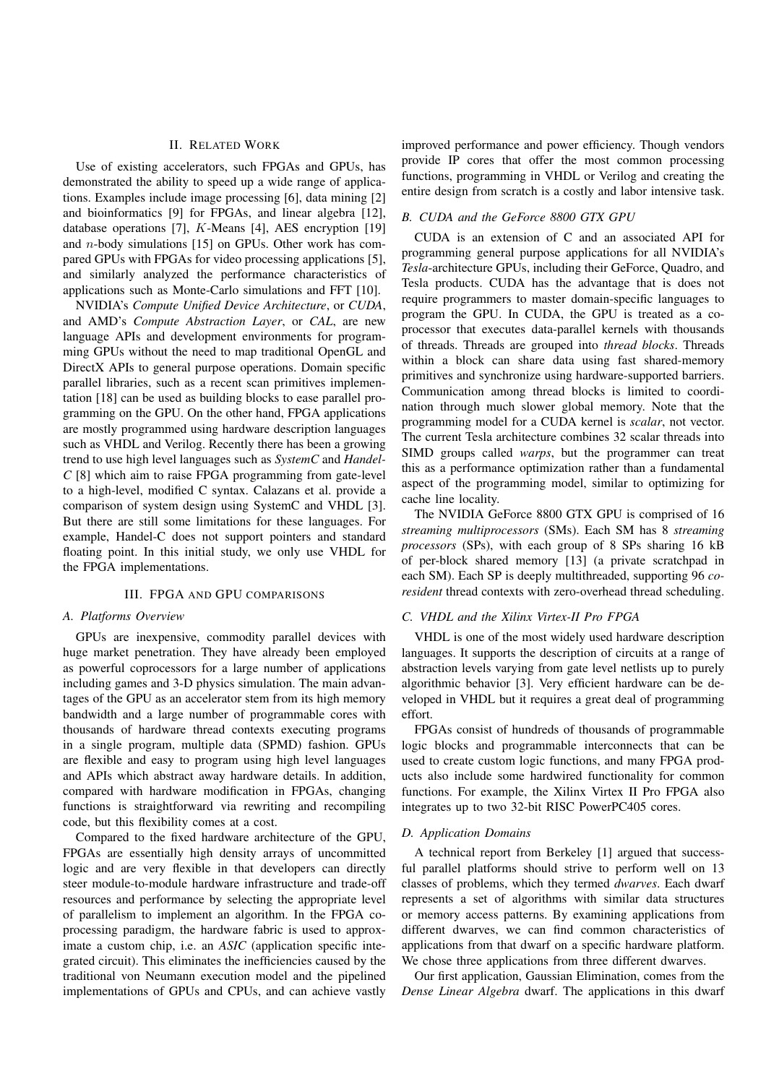## II. RELATED WORK

Use of existing accelerators, such FPGAs and GPUs, has demonstrated the ability to speed up a wide range of applications. Examples include image processing [6], data mining [2] and bioinformatics [9] for FPGAs, and linear algebra [12], database operations [7], K-Means [4], AES encryption [19] and n-body simulations [15] on GPUs. Other work has compared GPUs with FPGAs for video processing applications [5], and similarly analyzed the performance characteristics of applications such as Monte-Carlo simulations and FFT [10].

NVIDIA's *Compute Unified Device Architecture*, or *CUDA*, and AMD's *Compute Abstraction Layer*, or *CAL*, are new language APIs and development environments for programming GPUs without the need to map traditional OpenGL and DirectX APIs to general purpose operations. Domain specific parallel libraries, such as a recent scan primitives implementation [18] can be used as building blocks to ease parallel programming on the GPU. On the other hand, FPGA applications are mostly programmed using hardware description languages such as VHDL and Verilog. Recently there has been a growing trend to use high level languages such as *SystemC* and *Handel-C* [8] which aim to raise FPGA programming from gate-level to a high-level, modified C syntax. Calazans et al. provide a comparison of system design using SystemC and VHDL [3]. But there are still some limitations for these languages. For example, Handel-C does not support pointers and standard floating point. In this initial study, we only use VHDL for the FPGA implementations.

## III. FPGA AND GPU COMPARISONS

#### *A. Platforms Overview*

GPUs are inexpensive, commodity parallel devices with huge market penetration. They have already been employed as powerful coprocessors for a large number of applications including games and 3-D physics simulation. The main advantages of the GPU as an accelerator stem from its high memory bandwidth and a large number of programmable cores with thousands of hardware thread contexts executing programs in a single program, multiple data (SPMD) fashion. GPUs are flexible and easy to program using high level languages and APIs which abstract away hardware details. In addition, compared with hardware modification in FPGAs, changing functions is straightforward via rewriting and recompiling code, but this flexibility comes at a cost.

Compared to the fixed hardware architecture of the GPU, FPGAs are essentially high density arrays of uncommitted logic and are very flexible in that developers can directly steer module-to-module hardware infrastructure and trade-off resources and performance by selecting the appropriate level of parallelism to implement an algorithm. In the FPGA coprocessing paradigm, the hardware fabric is used to approximate a custom chip, i.e. an *ASIC* (application specific integrated circuit). This eliminates the inefficiencies caused by the traditional von Neumann execution model and the pipelined implementations of GPUs and CPUs, and can achieve vastly

improved performance and power efficiency. Though vendors provide IP cores that offer the most common processing functions, programming in VHDL or Verilog and creating the entire design from scratch is a costly and labor intensive task.

## *B. CUDA and the GeForce 8800 GTX GPU*

CUDA is an extension of C and an associated API for programming general purpose applications for all NVIDIA's *Tesla*-architecture GPUs, including their GeForce, Quadro, and Tesla products. CUDA has the advantage that is does not require programmers to master domain-specific languages to program the GPU. In CUDA, the GPU is treated as a coprocessor that executes data-parallel kernels with thousands of threads. Threads are grouped into *thread blocks*. Threads within a block can share data using fast shared-memory primitives and synchronize using hardware-supported barriers. Communication among thread blocks is limited to coordination through much slower global memory. Note that the programming model for a CUDA kernel is *scalar*, not vector. The current Tesla architecture combines 32 scalar threads into SIMD groups called *warps*, but the programmer can treat this as a performance optimization rather than a fundamental aspect of the programming model, similar to optimizing for cache line locality.

The NVIDIA GeForce 8800 GTX GPU is comprised of 16 *streaming multiprocessors* (SMs). Each SM has 8 *streaming processors* (SPs), with each group of 8 SPs sharing 16 kB of per-block shared memory [13] (a private scratchpad in each SM). Each SP is deeply multithreaded, supporting 96 *coresident* thread contexts with zero-overhead thread scheduling.

#### *C. VHDL and the Xilinx Virtex-II Pro FPGA*

VHDL is one of the most widely used hardware description languages. It supports the description of circuits at a range of abstraction levels varying from gate level netlists up to purely algorithmic behavior [3]. Very efficient hardware can be developed in VHDL but it requires a great deal of programming effort.

FPGAs consist of hundreds of thousands of programmable logic blocks and programmable interconnects that can be used to create custom logic functions, and many FPGA products also include some hardwired functionality for common functions. For example, the Xilinx Virtex II Pro FPGA also integrates up to two 32-bit RISC PowerPC405 cores.

## *D. Application Domains*

A technical report from Berkeley [1] argued that successful parallel platforms should strive to perform well on 13 classes of problems, which they termed *dwarves*. Each dwarf represents a set of algorithms with similar data structures or memory access patterns. By examining applications from different dwarves, we can find common characteristics of applications from that dwarf on a specific hardware platform. We chose three applications from three different dwarves.

Our first application, Gaussian Elimination, comes from the *Dense Linear Algebra* dwarf. The applications in this dwarf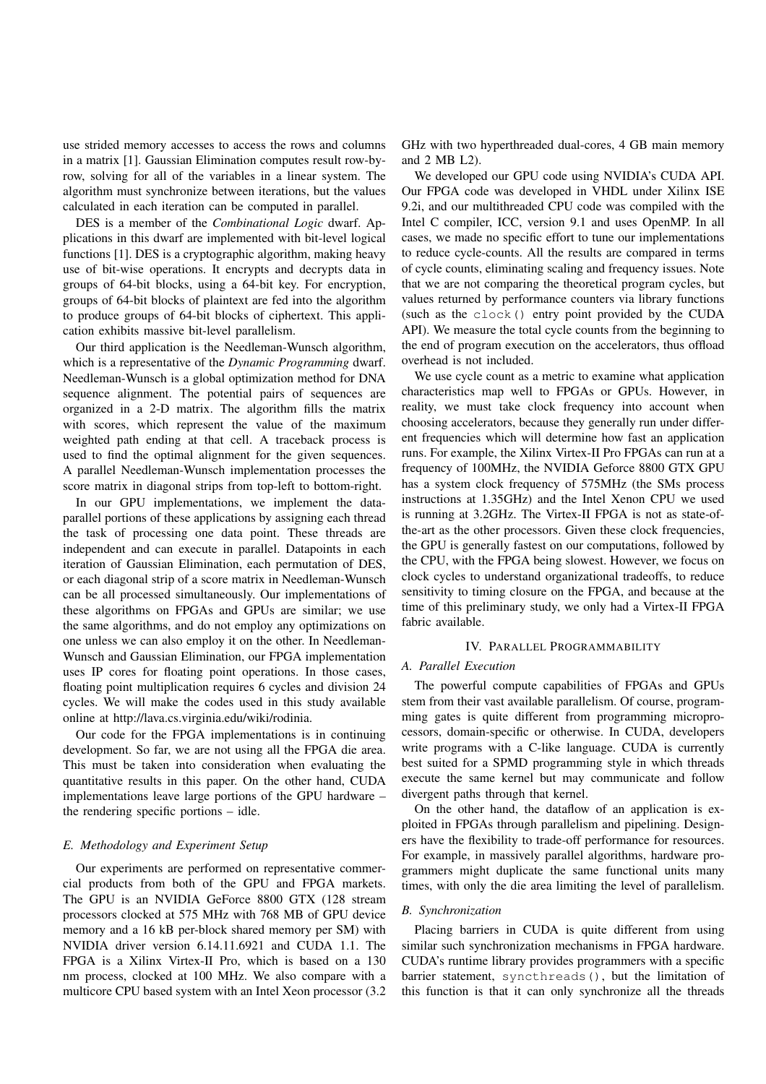use strided memory accesses to access the rows and columns in a matrix [1]. Gaussian Elimination computes result row-byrow, solving for all of the variables in a linear system. The algorithm must synchronize between iterations, but the values calculated in each iteration can be computed in parallel.

DES is a member of the *Combinational Logic* dwarf. Applications in this dwarf are implemented with bit-level logical functions [1]. DES is a cryptographic algorithm, making heavy use of bit-wise operations. It encrypts and decrypts data in groups of 64-bit blocks, using a 64-bit key. For encryption, groups of 64-bit blocks of plaintext are fed into the algorithm to produce groups of 64-bit blocks of ciphertext. This application exhibits massive bit-level parallelism.

Our third application is the Needleman-Wunsch algorithm, which is a representative of the *Dynamic Programming* dwarf. Needleman-Wunsch is a global optimization method for DNA sequence alignment. The potential pairs of sequences are organized in a 2-D matrix. The algorithm fills the matrix with scores, which represent the value of the maximum weighted path ending at that cell. A traceback process is used to find the optimal alignment for the given sequences. A parallel Needleman-Wunsch implementation processes the score matrix in diagonal strips from top-left to bottom-right.

In our GPU implementations, we implement the dataparallel portions of these applications by assigning each thread the task of processing one data point. These threads are independent and can execute in parallel. Datapoints in each iteration of Gaussian Elimination, each permutation of DES, or each diagonal strip of a score matrix in Needleman-Wunsch can be all processed simultaneously. Our implementations of these algorithms on FPGAs and GPUs are similar; we use the same algorithms, and do not employ any optimizations on one unless we can also employ it on the other. In Needleman-Wunsch and Gaussian Elimination, our FPGA implementation uses IP cores for floating point operations. In those cases, floating point multiplication requires 6 cycles and division 24 cycles. We will make the codes used in this study available online at http://lava.cs.virginia.edu/wiki/rodinia.

Our code for the FPGA implementations is in continuing development. So far, we are not using all the FPGA die area. This must be taken into consideration when evaluating the quantitative results in this paper. On the other hand, CUDA implementations leave large portions of the GPU hardware – the rendering specific portions – idle.

## *E. Methodology and Experiment Setup*

Our experiments are performed on representative commercial products from both of the GPU and FPGA markets. The GPU is an NVIDIA GeForce 8800 GTX (128 stream processors clocked at 575 MHz with 768 MB of GPU device memory and a 16 kB per-block shared memory per SM) with NVIDIA driver version 6.14.11.6921 and CUDA 1.1. The FPGA is a Xilinx Virtex-II Pro, which is based on a 130 nm process, clocked at 100 MHz. We also compare with a multicore CPU based system with an Intel Xeon processor (3.2

GHz with two hyperthreaded dual-cores, 4 GB main memory and 2 MB L2).

We developed our GPU code using NVIDIA's CUDA API. Our FPGA code was developed in VHDL under Xilinx ISE 9.2i, and our multithreaded CPU code was compiled with the Intel C compiler, ICC, version 9.1 and uses OpenMP. In all cases, we made no specific effort to tune our implementations to reduce cycle-counts. All the results are compared in terms of cycle counts, eliminating scaling and frequency issues. Note that we are not comparing the theoretical program cycles, but values returned by performance counters via library functions (such as the clock() entry point provided by the CUDA API). We measure the total cycle counts from the beginning to the end of program execution on the accelerators, thus offload overhead is not included.

We use cycle count as a metric to examine what application characteristics map well to FPGAs or GPUs. However, in reality, we must take clock frequency into account when choosing accelerators, because they generally run under different frequencies which will determine how fast an application runs. For example, the Xilinx Virtex-II Pro FPGAs can run at a frequency of 100MHz, the NVIDIA Geforce 8800 GTX GPU has a system clock frequency of 575MHz (the SMs process instructions at 1.35GHz) and the Intel Xenon CPU we used is running at 3.2GHz. The Virtex-II FPGA is not as state-ofthe-art as the other processors. Given these clock frequencies, the GPU is generally fastest on our computations, followed by the CPU, with the FPGA being slowest. However, we focus on clock cycles to understand organizational tradeoffs, to reduce sensitivity to timing closure on the FPGA, and because at the time of this preliminary study, we only had a Virtex-II FPGA fabric available.

## IV. PARALLEL PROGRAMMABILITY

## *A. Parallel Execution*

The powerful compute capabilities of FPGAs and GPUs stem from their vast available parallelism. Of course, programming gates is quite different from programming microprocessors, domain-specific or otherwise. In CUDA, developers write programs with a C-like language. CUDA is currently best suited for a SPMD programming style in which threads execute the same kernel but may communicate and follow divergent paths through that kernel.

On the other hand, the dataflow of an application is exploited in FPGAs through parallelism and pipelining. Designers have the flexibility to trade-off performance for resources. For example, in massively parallel algorithms, hardware programmers might duplicate the same functional units many times, with only the die area limiting the level of parallelism.

## *B. Synchronization*

Placing barriers in CUDA is quite different from using similar such synchronization mechanisms in FPGA hardware. CUDA's runtime library provides programmers with a specific barrier statement, syncthreads(), but the limitation of this function is that it can only synchronize all the threads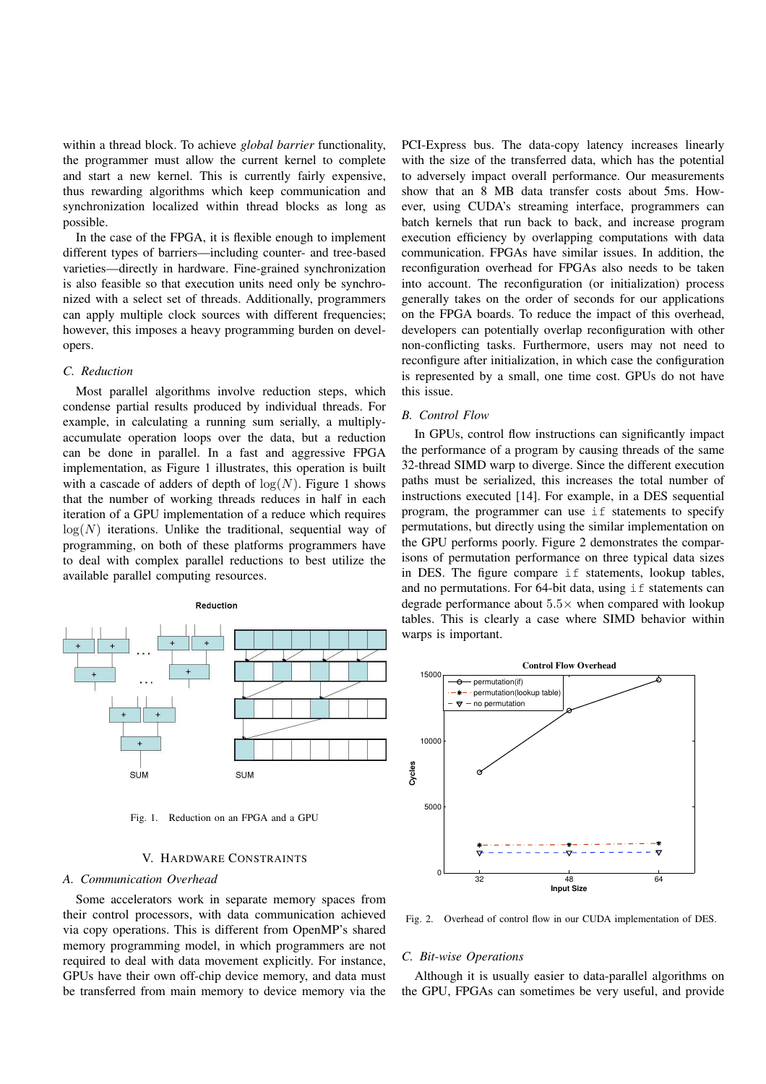within a thread block. To achieve *global barrier* functionality, the programmer must allow the current kernel to complete and start a new kernel. This is currently fairly expensive, thus rewarding algorithms which keep communication and synchronization localized within thread blocks as long as possible.

In the case of the FPGA, it is flexible enough to implement different types of barriers—including counter- and tree-based varieties—directly in hardware. Fine-grained synchronization is also feasible so that execution units need only be synchronized with a select set of threads. Additionally, programmers can apply multiple clock sources with different frequencies; however, this imposes a heavy programming burden on developers.

## *C. Reduction*

Most parallel algorithms involve reduction steps, which condense partial results produced by individual threads. For example, in calculating a running sum serially, a multiplyaccumulate operation loops over the data, but a reduction can be done in parallel. In a fast and aggressive FPGA implementation, as Figure 1 illustrates, this operation is built with a cascade of adders of depth of  $log(N)$ . Figure 1 shows that the number of working threads reduces in half in each iteration of a GPU implementation of a reduce which requires  $log(N)$  iterations. Unlike the traditional, sequential way of programming, on both of these platforms programmers have to deal with complex parallel reductions to best utilize the available parallel computing resources.



Reduction

Fig. 1. Reduction on an FPGA and a GPU

## V. HARDWARE CONSTRAINTS

## *A. Communication Overhead*

Some accelerators work in separate memory spaces from their control processors, with data communication achieved via copy operations. This is different from OpenMP's shared memory programming model, in which programmers are not required to deal with data movement explicitly. For instance, GPUs have their own off-chip device memory, and data must be transferred from main memory to device memory via the PCI-Express bus. The data-copy latency increases linearly with the size of the transferred data, which has the potential to adversely impact overall performance. Our measurements show that an 8 MB data transfer costs about 5ms. However, using CUDA's streaming interface, programmers can batch kernels that run back to back, and increase program execution efficiency by overlapping computations with data communication. FPGAs have similar issues. In addition, the reconfiguration overhead for FPGAs also needs to be taken into account. The reconfiguration (or initialization) process generally takes on the order of seconds for our applications on the FPGA boards. To reduce the impact of this overhead, developers can potentially overlap reconfiguration with other non-conflicting tasks. Furthermore, users may not need to reconfigure after initialization, in which case the configuration is represented by a small, one time cost. GPUs do not have this issue.

## *B. Control Flow*

In GPUs, control flow instructions can significantly impact the performance of a program by causing threads of the same 32-thread SIMD warp to diverge. Since the different execution paths must be serialized, this increases the total number of instructions executed [14]. For example, in a DES sequential program, the programmer can use if statements to specify permutations, but directly using the similar implementation on the GPU performs poorly. Figure 2 demonstrates the comparisons of permutation performance on three typical data sizes in DES. The figure compare if statements, lookup tables, and no permutations. For 64-bit data, using  $\pm$  f statements can degrade performance about  $5.5\times$  when compared with lookup tables. This is clearly a case where SIMD behavior within warps is important.



Fig. 2. Overhead of control flow in our CUDA implementation of DES.

#### *C. Bit-wise Operations*

Although it is usually easier to data-parallel algorithms on the GPU, FPGAs can sometimes be very useful, and provide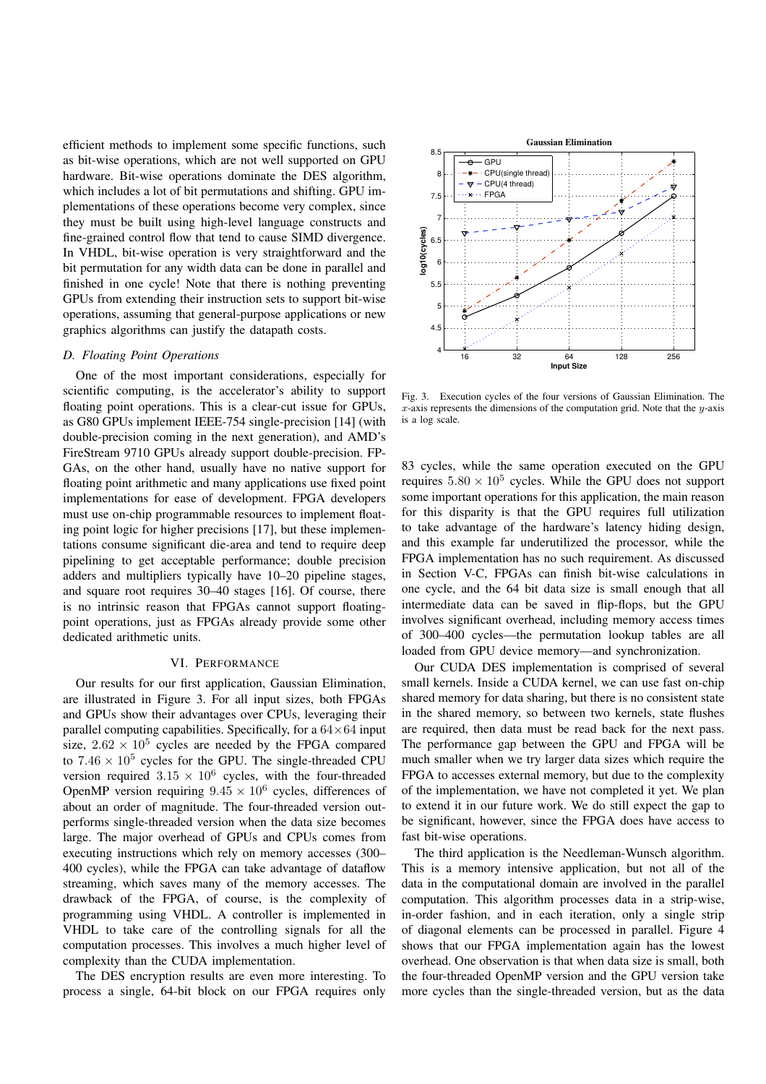efficient methods to implement some specific functions, such as bit-wise operations, which are not well supported on GPU hardware. Bit-wise operations dominate the DES algorithm, which includes a lot of bit permutations and shifting. GPU implementations of these operations become very complex, since they must be built using high-level language constructs and fine-grained control flow that tend to cause SIMD divergence. In VHDL, bit-wise operation is very straightforward and the bit permutation for any width data can be done in parallel and finished in one cycle! Note that there is nothing preventing GPUs from extending their instruction sets to support bit-wise operations, assuming that general-purpose applications or new graphics algorithms can justify the datapath costs.

#### *D. Floating Point Operations*

One of the most important considerations, especially for scientific computing, is the accelerator's ability to support floating point operations. This is a clear-cut issue for GPUs, as G80 GPUs implement IEEE-754 single-precision [14] (with double-precision coming in the next generation), and AMD's FireStream 9710 GPUs already support double-precision. FP-GAs, on the other hand, usually have no native support for floating point arithmetic and many applications use fixed point implementations for ease of development. FPGA developers must use on-chip programmable resources to implement floating point logic for higher precisions [17], but these implementations consume significant die-area and tend to require deep pipelining to get acceptable performance; double precision adders and multipliers typically have 10–20 pipeline stages, and square root requires 30–40 stages [16]. Of course, there is no intrinsic reason that FPGAs cannot support floatingpoint operations, just as FPGAs already provide some other dedicated arithmetic units.

# VI. PERFORMANCE

Our results for our first application, Gaussian Elimination, are illustrated in Figure 3. For all input sizes, both FPGAs and GPUs show their advantages over CPUs, leveraging their parallel computing capabilities. Specifically, for a  $64\times64$  input size,  $2.62 \times 10^5$  cycles are needed by the FPGA compared to  $7.46 \times 10^5$  cycles for the GPU. The single-threaded CPU version required  $3.15 \times 10^6$  cycles, with the four-threaded OpenMP version requiring  $9.45 \times 10^6$  cycles, differences of about an order of magnitude. The four-threaded version outperforms single-threaded version when the data size becomes large. The major overhead of GPUs and CPUs comes from executing instructions which rely on memory accesses (300– 400 cycles), while the FPGA can take advantage of dataflow streaming, which saves many of the memory accesses. The drawback of the FPGA, of course, is the complexity of programming using VHDL. A controller is implemented in VHDL to take care of the controlling signals for all the computation processes. This involves a much higher level of complexity than the CUDA implementation.

The DES encryption results are even more interesting. To process a single, 64-bit block on our FPGA requires only



Fig. 3. Execution cycles of the four versions of Gaussian Elimination. The  $x$ -axis represents the dimensions of the computation grid. Note that the  $y$ -axis is a log scale.

83 cycles, while the same operation executed on the GPU requires  $5.80 \times 10^5$  cycles. While the GPU does not support some important operations for this application, the main reason for this disparity is that the GPU requires full utilization to take advantage of the hardware's latency hiding design, and this example far underutilized the processor, while the FPGA implementation has no such requirement. As discussed in Section V-C, FPGAs can finish bit-wise calculations in one cycle, and the 64 bit data size is small enough that all intermediate data can be saved in flip-flops, but the GPU involves significant overhead, including memory access times of 300–400 cycles—the permutation lookup tables are all loaded from GPU device memory—and synchronization.

Our CUDA DES implementation is comprised of several small kernels. Inside a CUDA kernel, we can use fast on-chip shared memory for data sharing, but there is no consistent state in the shared memory, so between two kernels, state flushes are required, then data must be read back for the next pass. The performance gap between the GPU and FPGA will be much smaller when we try larger data sizes which require the FPGA to accesses external memory, but due to the complexity of the implementation, we have not completed it yet. We plan to extend it in our future work. We do still expect the gap to be significant, however, since the FPGA does have access to fast bit-wise operations.

The third application is the Needleman-Wunsch algorithm. This is a memory intensive application, but not all of the data in the computational domain are involved in the parallel computation. This algorithm processes data in a strip-wise, in-order fashion, and in each iteration, only a single strip of diagonal elements can be processed in parallel. Figure 4 shows that our FPGA implementation again has the lowest overhead. One observation is that when data size is small, both the four-threaded OpenMP version and the GPU version take more cycles than the single-threaded version, but as the data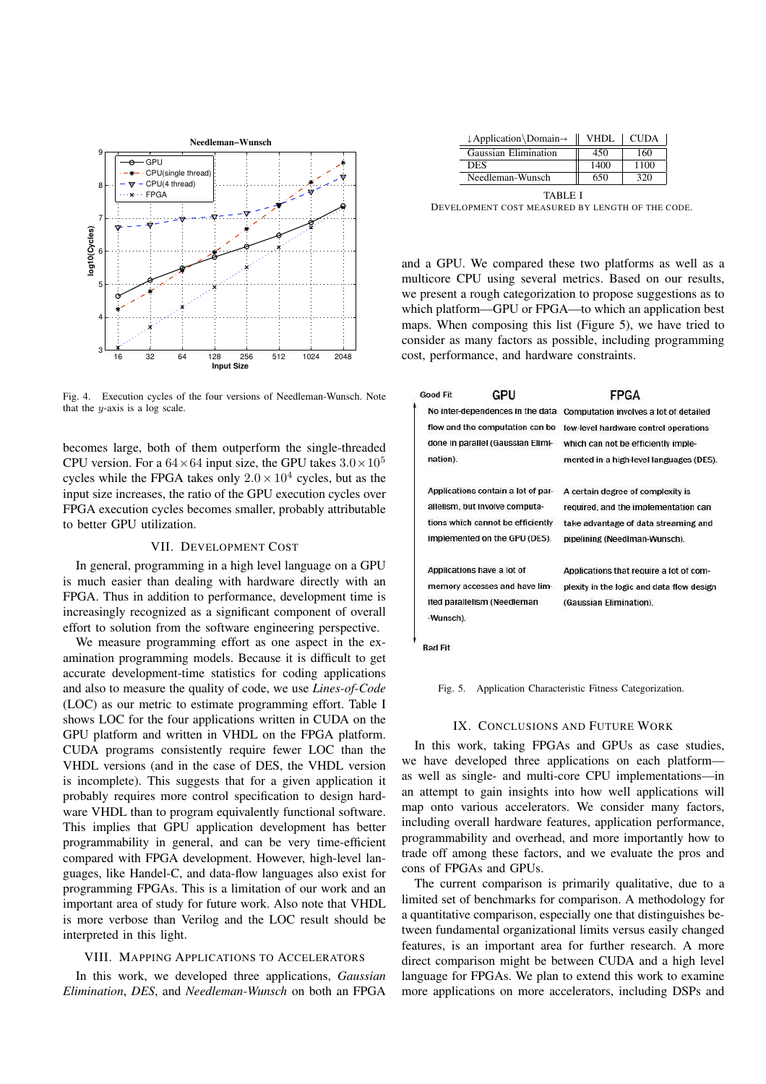

Fig. 4. Execution cycles of the four versions of Needleman-Wunsch. Note that the  $y$ -axis is a log scale.

becomes large, both of them outperform the single-threaded CPU version. For a  $64 \times 64$  input size, the GPU takes  $3.0 \times 10^5$ cycles while the FPGA takes only  $2.0 \times 10^4$  cycles, but as the input size increases, the ratio of the GPU execution cycles over FPGA execution cycles becomes smaller, probably attributable to better GPU utilization.

# VII. DEVELOPMENT COST

In general, programming in a high level language on a GPU is much easier than dealing with hardware directly with an FPGA. Thus in addition to performance, development time is increasingly recognized as a significant component of overall effort to solution from the software engineering perspective.

We measure programming effort as one aspect in the examination programming models. Because it is difficult to get accurate development-time statistics for coding applications and also to measure the quality of code, we use *Lines-of-Code* (LOC) as our metric to estimate programming effort. Table I shows LOC for the four applications written in CUDA on the GPU platform and written in VHDL on the FPGA platform. CUDA programs consistently require fewer LOC than the VHDL versions (and in the case of DES, the VHDL version is incomplete). This suggests that for a given application it probably requires more control specification to design hardware VHDL than to program equivalently functional software. This implies that GPU application development has better programmability in general, and can be very time-efficient compared with FPGA development. However, high-level languages, like Handel-C, and data-flow languages also exist for programming FPGAs. This is a limitation of our work and an important area of study for future work. Also note that VHDL is more verbose than Verilog and the LOC result should be interpreted in this light.

## VIII. MAPPING APPLICATIONS TO ACCELERATORS

In this work, we developed three applications, *Gaussian Elimination*, *DES*, and *Needleman-Wunsch* on both an FPGA

| $\downarrow$ Application\Domain $\rightarrow$ | <b>VHDL</b> | <b>CUDA</b> |  |
|-----------------------------------------------|-------------|-------------|--|
| Gaussian Elimination                          | 450         | 160         |  |
| <b>DES</b>                                    | 1400        | 1100        |  |
| Needleman-Wunsch                              | 650         | 320         |  |
| TABLE I                                       |             |             |  |

DEVELOPMENT COST MEASURED BY LENGTH OF THE CODE.

and a GPU. We compared these two platforms as well as a multicore CPU using several metrics. Based on our results, we present a rough categorization to propose suggestions as to which platform—GPU or FPGA—to which an application best maps. When composing this list (Figure 5), we have tried to consider as many factors as possible, including programming cost, performance, and hardware constraints.

| Good Fit       | GPU                                | FPGA                                      |
|----------------|------------------------------------|-------------------------------------------|
|                | No inter-dependences in the data   | Computation involves a lot of detailed    |
|                | flow and the computation can be    | low-level hardware control operations     |
|                | done in parallel (Gaussian Elimi-  | which can not be efficiently imple-       |
| nation).       |                                    | mented in a high-level languages (DES).   |
|                | Applications contain a lot of par- | A certain degree of complexity is         |
|                | allelism, but involve computa-     | required, and the implementation can      |
|                | tions which cannot be efficiently  | take advantage of data streaming and      |
|                | implemented on the GPU (DES).      | pipelining (Needlman-Wunsch).             |
|                | Applications have a lot of         | Applications that require a lot of com-   |
|                | memory accesses and have lim-      | plexity in the logic and data flow design |
|                | ited parallelism (Needleman        | (Gaussian Elimination).                   |
| -Wunsch).      |                                    |                                           |
| <b>Bad Fit</b> |                                    |                                           |
|                |                                    |                                           |

Fig. 5. Application Characteristic Fitness Categorization.

#### IX. CONCLUSIONS AND FUTURE WORK

In this work, taking FPGAs and GPUs as case studies, we have developed three applications on each platform as well as single- and multi-core CPU implementations—in an attempt to gain insights into how well applications will map onto various accelerators. We consider many factors, including overall hardware features, application performance, programmability and overhead, and more importantly how to trade off among these factors, and we evaluate the pros and cons of FPGAs and GPUs.

The current comparison is primarily qualitative, due to a limited set of benchmarks for comparison. A methodology for a quantitative comparison, especially one that distinguishes between fundamental organizational limits versus easily changed features, is an important area for further research. A more direct comparison might be between CUDA and a high level language for FPGAs. We plan to extend this work to examine more applications on more accelerators, including DSPs and